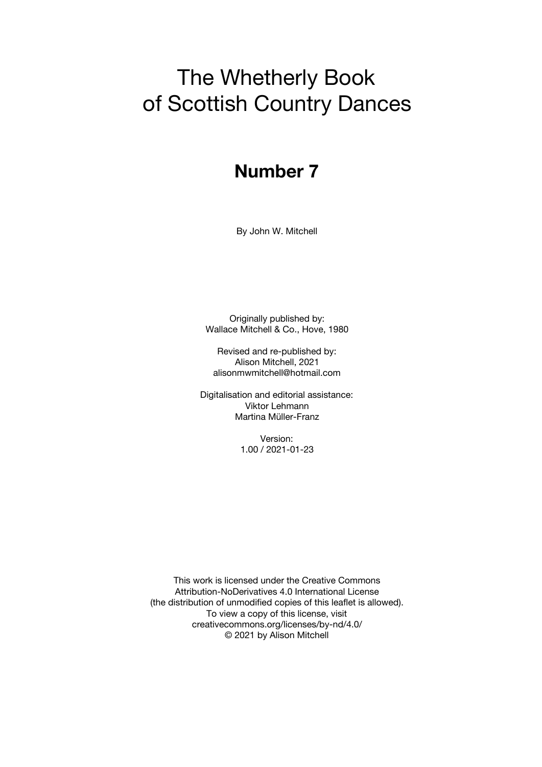# The Whetherly Book of Scottish Country Dances

# **Number 7**

By John W. Mitchell

Originally published by: Wallace Mitchell & Co., Hove, 1980

Revised and re-published by: Alison Mitchell, 2021 alisonmwmitchell@hotmail.com

Digitalisation and editorial assistance: Viktor Lehmann Martina Müller-Franz

> Version: 1.00 / 2021-01-23

This work is licensed under the Creative Commons Attribution-NoDerivatives 4.0 International License (the distribution of unmodified copies of this leaflet is allowed). To view a copy of this license, visit creativecommons.org/licenses/by-nd/4.0/ © 2021 by Alison Mitchell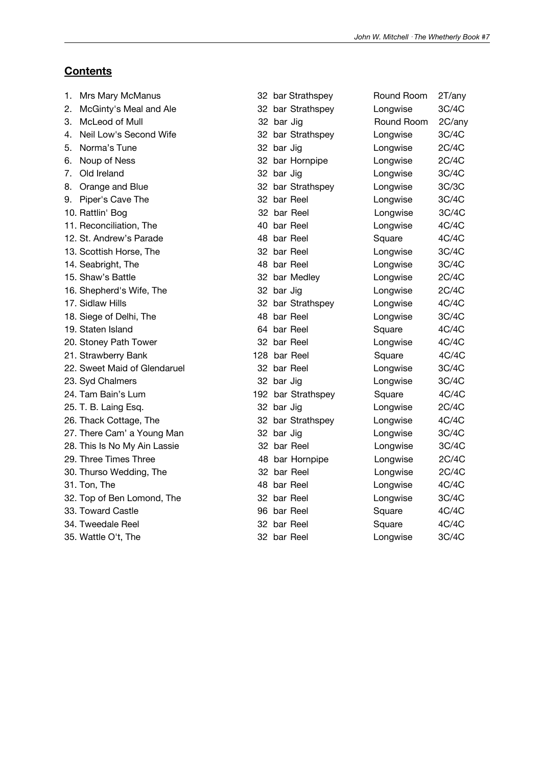## **Contents**

| 1. | Mrs Mary McManus             |     |            | 32 bar Strathspey  | Round Room | 2T/any |
|----|------------------------------|-----|------------|--------------------|------------|--------|
| 2. | McGinty's Meal and Ale       |     |            | 32 bar Strathspey  | Longwise   | 3C/4C  |
| 3. | McLeod of Mull               |     | 32 bar Jig |                    | Round Room | 2C/any |
| 4. | Neil Low's Second Wife       |     |            | 32 bar Strathspey  | Longwise   | 3C/4C  |
| 5. | Norma's Tune                 |     | 32 bar Jig |                    | Longwise   | 2C/4C  |
| 6. | Noup of Ness                 |     |            | 32 bar Hornpipe    | Longwise   | 2C/4C  |
| 7. | Old Ireland                  |     | 32 bar Jig |                    | Longwise   | 3C/4C  |
| 8. | Orange and Blue              |     |            | 32 bar Strathspey  | Longwise   | 3C/3C  |
| 9. | Piper's Cave The             |     |            | 32 bar Reel        | Longwise   | 3C/4C  |
|    | 10. Rattlin' Bog             |     |            | 32 bar Reel        | Longwise   | 3C/4C  |
|    | 11. Reconciliation, The      | 40  |            | bar Reel           | Longwise   | 4C/4C  |
|    | 12. St. Andrew's Parade      |     |            | 48 bar Reel        | Square     | 4C/4C  |
|    | 13. Scottish Horse, The      | 32. |            | bar Reel           | Longwise   | 3C/4C  |
|    | 14. Seabright, The           |     |            | 48 bar Reel        | Longwise   | 3C/4C  |
|    | 15. Shaw's Battle            |     |            | 32 bar Medley      | Longwise   | 2C/4C  |
|    | 16. Shepherd's Wife, The     |     | 32 bar Jig |                    | Longwise   | 2C/4C  |
|    | 17. Sidlaw Hills             |     |            | 32 bar Strathspey  | Longwise   | 4C/4C  |
|    | 18. Siege of Delhi, The      |     |            | 48 bar Reel        | Longwise   | 3C/4C  |
|    | 19. Staten Island            |     |            | 64 bar Reel        | Square     | 4C/4C  |
|    | 20. Stoney Path Tower        |     |            | 32 bar Reel        | Longwise   | 4C/4C  |
|    | 21. Strawberry Bank          |     |            | 128 bar Reel       | Square     | 4C/4C  |
|    | 22. Sweet Maid of Glendaruel |     |            | 32 bar Reel        | Longwise   | 3C/4C  |
|    | 23. Syd Chalmers             |     | 32 bar Jig |                    | Longwise   | 3C/4C  |
|    | 24. Tam Bain's Lum           |     |            | 192 bar Strathspey | Square     | 4C/4C  |
|    | 25. T. B. Laing Esq.         |     | 32 bar Jig |                    | Longwise   | 2C/4C  |
|    | 26. Thack Cottage, The       |     |            | 32 bar Strathspey  | Longwise   | 4C/4C  |
|    | 27. There Cam' a Young Man   |     | 32 bar Jig |                    | Longwise   | 3C/4C  |
|    | 28. This Is No My Ain Lassie |     |            | 32 bar Reel        | Longwise   | 3C/4C  |
|    | 29. Three Times Three        |     |            | 48 bar Hornpipe    | Longwise   | 2C/4C  |
|    | 30. Thurso Wedding, The      |     |            | 32 bar Reel        | Longwise   | 2C/4C  |
|    | 31. Ton, The                 |     |            | 48 bar Reel        | Longwise   | 4C/4C  |
|    | 32. Top of Ben Lomond, The   | 32  |            | bar Reel           | Longwise   | 3C/4C  |
|    | 33. Toward Castle            | 96  |            | bar Reel           | Square     | 4C/4C  |
|    | 34. Tweedale Reel            | 32  |            | bar Reel           | Square     | 4C/4C  |
|    | 35. Wattle O't, The          |     |            | 32 bar Reel        | Longwise   | 3C/4C  |
|    |                              |     |            |                    |            |        |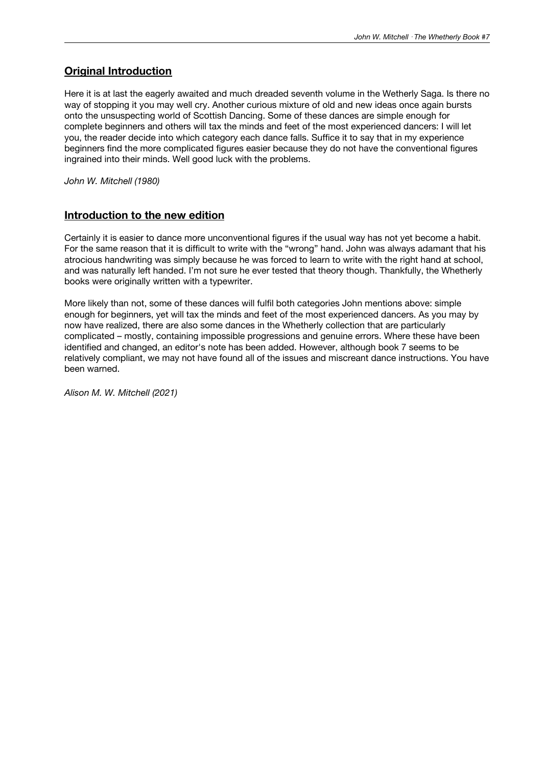### **Original Introduction**

Here it is at last the eagerly awaited and much dreaded seventh volume in the Wetherly Saga. Is there no way of stopping it you may well cry. Another curious mixture of old and new ideas once again bursts onto the unsuspecting world of Scottish Dancing. Some of these dances are simple enough for complete beginners and others will tax the minds and feet of the most experienced dancers: I will let you, the reader decide into which category each dance falls. Suffice it to say that in my experience beginners find the more complicated figures easier because they do not have the conventional figures ingrained into their minds. Well good luck with the problems.

*John W. Mitchell (1980)*

### **Introduction to the new edition**

Certainly it is easier to dance more unconventional figures if the usual way has not yet become a habit. For the same reason that it is difficult to write with the "wrong" hand. John was always adamant that his atrocious handwriting was simply because he was forced to learn to write with the right hand at school, and was naturally left handed. I'm not sure he ever tested that theory though. Thankfully, the Whetherly books were originally written with a typewriter.

More likely than not, some of these dances will fulfil both categories John mentions above: simple enough for beginners, yet will tax the minds and feet of the most experienced dancers. As you may by now have realized, there are also some dances in the Whetherly collection that are particularly complicated – mostly, containing impossible progressions and genuine errors. Where these have been identified and changed, an editor's note has been added. However, although book 7 seems to be relatively compliant, we may not have found all of the issues and miscreant dance instructions. You have been warned.

*Alison M. W. Mitchell (2021)*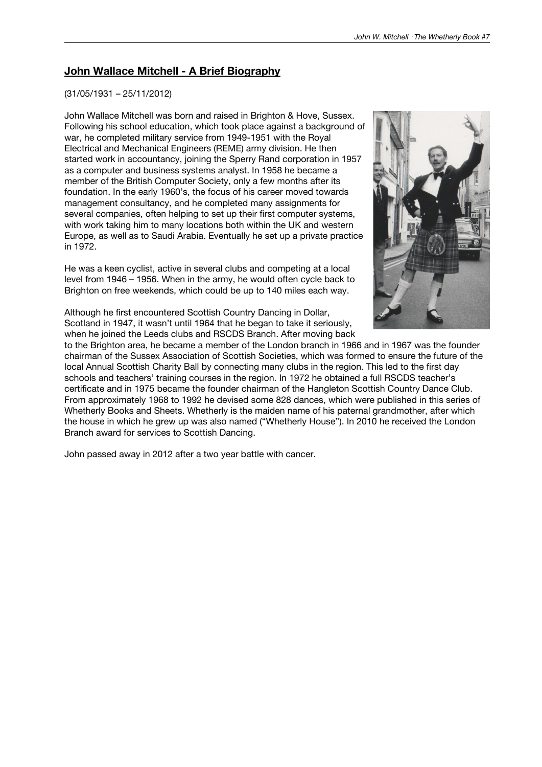### **John Wallace Mitchell - A Brief Biography**

#### (31/05/1931 – 25/11/2012)

John Wallace Mitchell was born and raised in Brighton & Hove, Sussex. Following his school education, which took place against a background of war, he completed military service from 1949-1951 with the Royal Electrical and Mechanical Engineers (REME) army division. He then started work in accountancy, joining the Sperry Rand corporation in 1957 as a computer and business systems analyst. In 1958 he became a member of the British Computer Society, only a few months after its foundation. In the early 1960's, the focus of his career moved towards management consultancy, and he completed many assignments for several companies, often helping to set up their first computer systems, with work taking him to many locations both within the UK and western Europe, as well as to Saudi Arabia. Eventually he set up a private practice in 1972.

He was a keen cyclist, active in several clubs and competing at a local level from 1946 – 1956. When in the army, he would often cycle back to Brighton on free weekends, which could be up to 140 miles each way.



Although he first encountered Scottish Country Dancing in Dollar, Scotland in 1947, it wasn't until 1964 that he began to take it seriously, when he joined the Leeds clubs and RSCDS Branch. After moving back

to the Brighton area, he became a member of the London branch in 1966 and in 1967 was the founder chairman of the Sussex Association of Scottish Societies, which was formed to ensure the future of the local Annual Scottish Charity Ball by connecting many clubs in the region. This led to the first day schools and teachers' training courses in the region. In 1972 he obtained a full RSCDS teacher's certificate and in 1975 became the founder chairman of the Hangleton Scottish Country Dance Club. From approximately 1968 to 1992 he devised some 828 dances, which were published in this series of Whetherly Books and Sheets. Whetherly is the maiden name of his paternal grandmother, after which the house in which he grew up was also named ("Whetherly House"). In 2010 he received the London Branch award for services to Scottish Dancing.

John passed away in 2012 after a two year battle with cancer.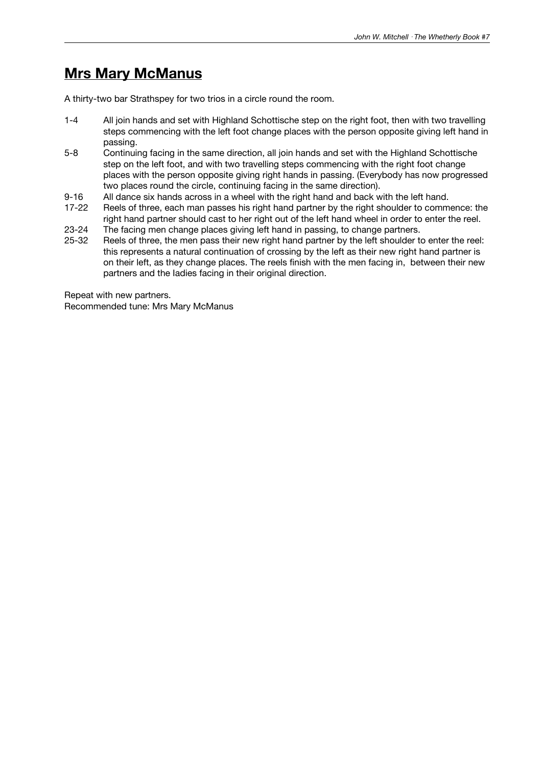## **Mrs Mary McManus**

A thirty-two bar Strathspey for two trios in a circle round the room.

- 1-4 All join hands and set with Highland Schottische step on the right foot, then with two travelling steps commencing with the left foot change places with the person opposite giving left hand in passing.
- 5-8 Continuing facing in the same direction, all join hands and set with the Highland Schottische step on the left foot, and with two travelling steps commencing with the right foot change places with the person opposite giving right hands in passing. (Everybody has now progressed two places round the circle, continuing facing in the same direction).
- 
- 9-16 All dance six hands across in a wheel with the right hand and back with the left hand.<br>17-22 Reels of three, each man passes his right hand partner by the right shoulder to comm Reels of three, each man passes his right hand partner by the right shoulder to commence: the right hand partner should cast to her right out of the left hand wheel in order to enter the reel.
- 23-24 The facing men change places giving left hand in passing, to change partners.
- 25-32 Reels of three, the men pass their new right hand partner by the left shoulder to enter the reel: this represents a natural continuation of crossing by the left as their new right hand partner is on their left, as they change places. The reels finish with the men facing in, between their new partners and the Iadies facing in their original direction.

Repeat with new partners. Recommended tune: Mrs Mary McManus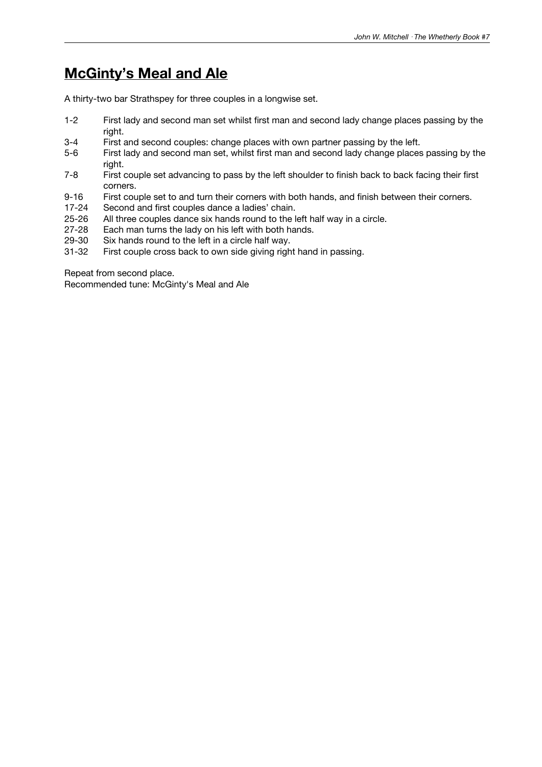# **McGinty's Meal and Ale**

A thirty-two bar Strathspey for three couples in a longwise set.

- 1-2 First lady and second man set whilst first man and second lady change places passing by the right.
- 3-4 First and second couples: change places with own partner passing by the left.
- 5-6 First lady and second man set, whilst first man and second lady change places passing by the right.
- 7-8 First couple set advancing to pass by the left shoulder to finish back to back facing their first corners.
- 9-16 First couple set to and turn their corners with both hands, and finish between their corners.<br>17-24 Second and first couples dance a ladies' chain.
- 17-24 Second and first couples dance a ladies' chain.<br>25-26 All three couples dance six hands round to the l
- 25-26 All three couples dance six hands round to the left half way in a circle.<br>27-28 Each man turns the lady on his left with both hands.
- Each man turns the lady on his left with both hands.
- 29-30 Six hands round to the left in a circle half way.<br>31-32 First couple cross back to own side giving righ
- First couple cross back to own side giving right hand in passing.

Repeat from second place.

Recommended tune: McGinty's Meal and Ale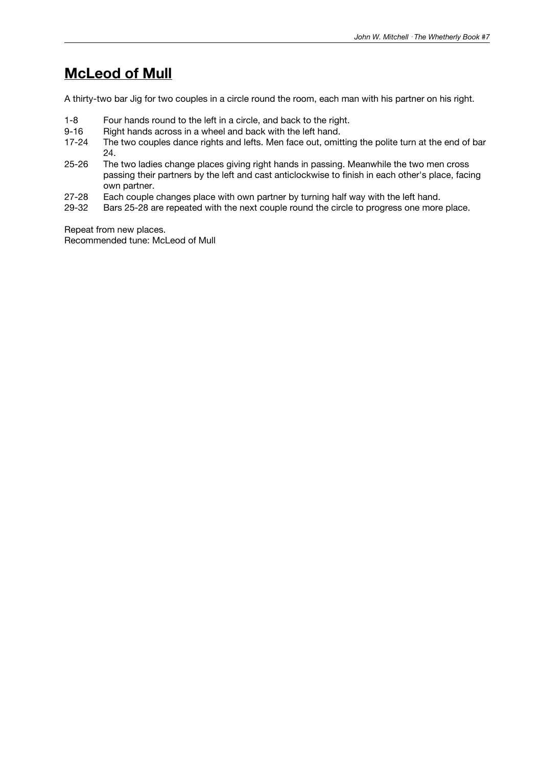# **McLeod of Mull**

A thirty-two bar Jig for two couples in a circle round the room, each man with his partner on his right.

- 1-8 Four hands round to the left in a circle, and back to the right.<br>9-16 Right hands across in a wheel and back with the left hand.
- 9-16 Right hands across in a wheel and back with the left hand.<br>17-24 The two couples dance rights and lefts. Men face out, omit
- The two couples dance rights and lefts. Men face out, omitting the polite turn at the end of bar 24.
- 25-26 The two ladies change places giving right hands in passing. Meanwhile the two men cross passing their partners by the left and cast anticlockwise to finish in each other's place, facing own partner.
- 27-28 Each couple changes place with own partner by turning half way with the left hand.<br>29-32 Bars 25-28 are repeated with the next couple round the circle to progress one more
- Bars 25-28 are repeated with the next couple round the circle to progress one more place.

Repeat from new places. Recommended tune: McLeod of Mull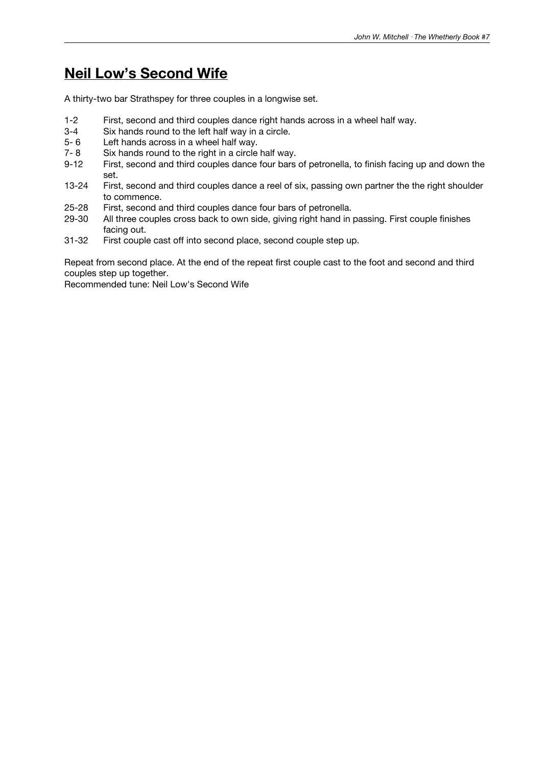# **Neil Low's Second Wife**

A thirty-two bar Strathspey for three couples in a longwise set.

- 1-2 First, second and third couples dance right hands across in a wheel half way.
- 3-4 Six hands round to the left half way in a circle.<br>5-6 Left hands across in a wheel half way.
- Left hands across in a wheel half way.
- 7- 8 Six hands round to the right in a circle half way.
- 9-12 First, second and third couples dance four bars of petronella, to finish facing up and down the set.
- 13-24 First, second and third couples dance a reel of six, passing own partner the the right shoulder to commence.
- 25-28 First, second and third couples dance four bars of petronella.<br>29-30 All three couples cross back to own side, giving right hand in
- All three couples cross back to own side, giving right hand in passing. First couple finishes facing out.
- 31-32 First couple cast off into second place, second couple step up.

Repeat from second place. At the end of the repeat first couple cast to the foot and second and third couples step up together.

Recommended tune: Neil Low's Second Wife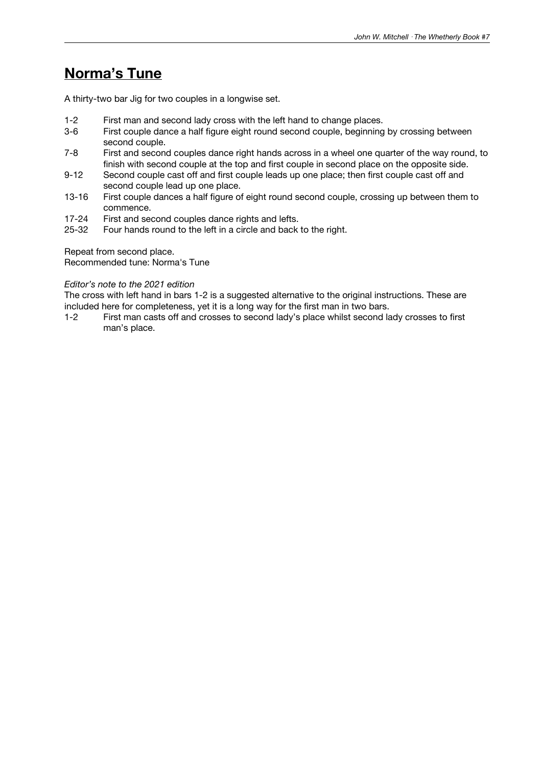# **Norma's Tune**

A thirty-two bar Jig for two couples in a longwise set.

- 1-2 First man and second lady cross with the left hand to change places.
- 3-6 First couple dance a half figure eight round second couple, beginning by crossing between second couple.
- 7-8 First and second couples dance right hands across in a wheel one quarter of the way round, to finish with second couple at the top and first couple in second place on the opposite side.
- 9-12 Second couple cast off and first couple leads up one place; then first couple cast off and second couple lead up one place.
- 13-16 First couple dances a half figure of eight round second couple, crossing up between them to commence.
- 17-24 First and second couples dance rights and lefts.<br>25-32 Four hands round to the left in a circle and back
- Four hands round to the left in a circle and back to the right.

Repeat from second place.

Recommended tune: Norma's Tune

#### *Editor's note to the 2021 edition*

The cross with left hand in bars 1-2 is a suggested alternative to the original instructions. These are included here for completeness, yet it is a long way for the first man in two bars.

1-2 First man casts off and crosses to second lady's place whilst second lady crosses to first man's place.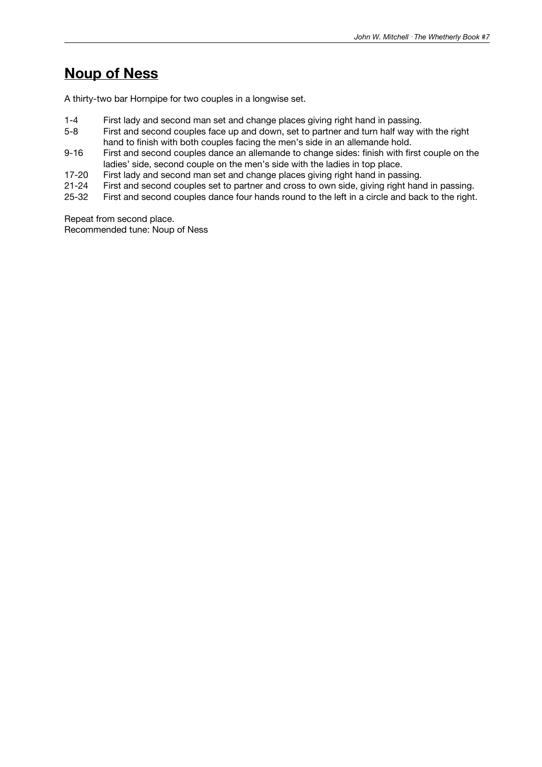# **Noup of Ness**

A thirty-two bar Hornpipe for two couples in a longwise set.

- 1-4 First lady and second man set and change places giving right hand in passing.<br>5-8 First and second couples face up and down, set to partner and turn half way w
- First and second couples face up and down, set to partner and turn half way with the right hand to finish with both couples facing the men's side in an allemande hold.
- 9-16 First and second couples dance an allemande to change sides: finish with first couple on the ladies' side, second couple on the men's side with the ladies in top place.
- 17-20 First lady and second man set and change places giving right hand in passing.
- 21-24 First and second couples set to partner and cross to own side, giving right hand in passing.<br>25-32 First and second couples dance four hands round to the left in a circle and back to the right.
- First and second couples dance four hands round to the left in a circle and back to the right.

Repeat from second place. Recommended tune: Noup of Ness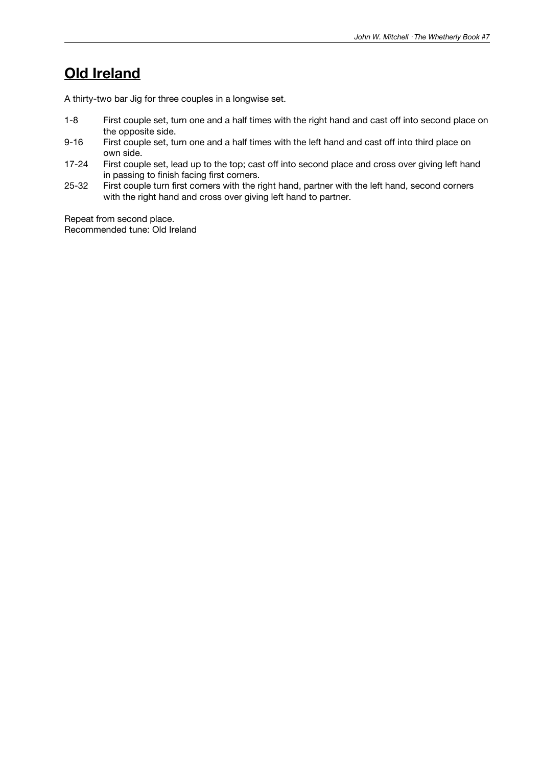# **Old Ireland**

A thirty-two bar Jig for three couples in a longwise set.

- 1-8 First couple set, turn one and a half times with the right hand and cast off into second place on the opposite side.
- 9-16 First couple set, turn one and a half times with the left hand and cast off into third place on own side.
- 17-24 First couple set, lead up to the top; cast off into second place and cross over giving left hand in passing to finish facing first corners.
- 25-32 First couple turn first corners with the right hand, partner with the left hand, second corners with the right hand and cross over giving left hand to partner.

Repeat from second place. Recommended tune: Old Ireland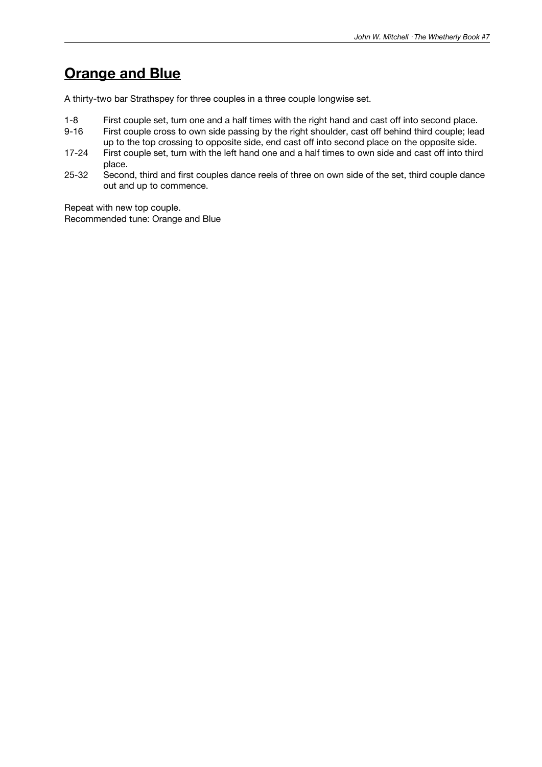# **Orange and Blue**

A thirty-two bar Strathspey for three couples in a three couple longwise set.

- 1-8 First couple set, turn one and a half times with the right hand and cast off into second place.
- First couple cross to own side passing by the right shoulder, cast off behind third couple; lead up to the top crossing to opposite side, end cast off into second place on the opposite side.
- 17-24 First couple set, turn with the left hand one and a half times to own side and cast off into third place.
- 25-32 Second, third and first couples dance reels of three on own side of the set, third couple dance out and up to commence.

Repeat with new top couple. Recommended tune: Orange and Blue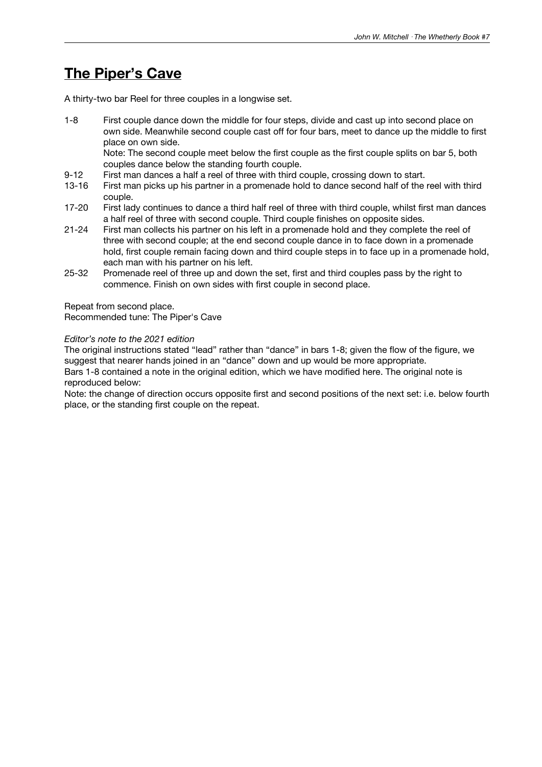### **The Piper's Cave**

A thirty-two bar Reel for three couples in a longwise set.

1-8 First couple dance down the middle for four steps, divide and cast up into second place on own side. Meanwhile second couple cast off for four bars, meet to dance up the middle to first place on own side.

Note: The second couple meet below the first couple as the first couple splits on bar 5, both couples dance below the standing fourth couple.

- 9-12 First man dances a half a reel of three with third couple, crossing down to start.
- 13-16 First man picks up his partner in a promenade hold to dance second half of the reel with third couple.
- 17-20 First lady continues to dance a third half reel of three with third couple, whilst first man dances a half reel of three with second couple. Third couple finishes on opposite sides.
- 21-24 First man collects his partner on his left in a promenade hold and they complete the reel of three with second couple; at the end second couple dance in to face down in a promenade hold, first couple remain facing down and third couple steps in to face up in a promenade hold, each man with his partner on his left.
- 25-32 Promenade reel of three up and down the set, first and third couples pass by the right to commence. Finish on own sides with first couple in second place.

Repeat from second place.

Recommended tune: The Piper's Cave

### *Editor's note to the 2021 edition*

The original instructions stated "lead" rather than "dance" in bars 1-8; given the flow of the figure, we suggest that nearer hands joined in an "dance" down and up would be more appropriate. Bars 1-8 contained a note in the original edition, which we have modified here. The original note is reproduced below:

Note: the change of direction occurs opposite first and second positions of the next set: i.e. below fourth place, or the standing first couple on the repeat.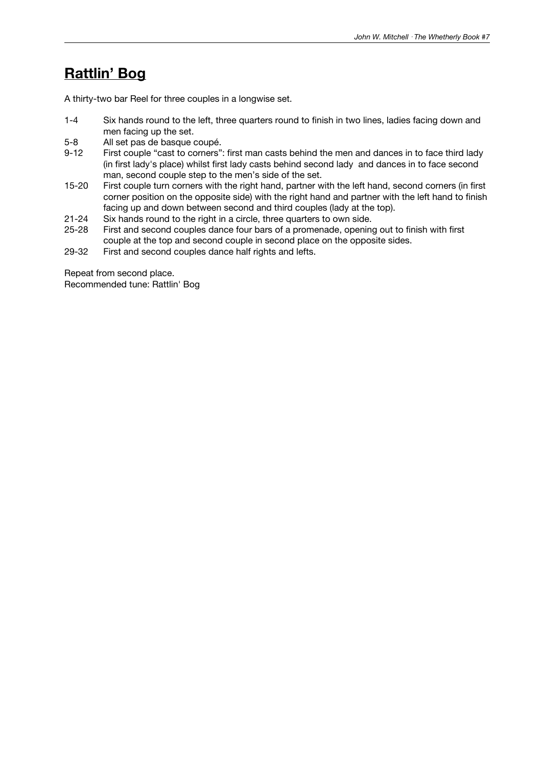# **Rattlin' Bog**

A thirty-two bar Reel for three couples in a longwise set.

- 1-4 Six hands round to the left, three quarters round to finish in two lines, ladies facing down and men facing up the set.
- 5-8 All set pas de basque coupé.
- 9-12 First couple "cast to corners": first man casts behind the men and dances in to face third lady (in first lady's place) whilst first lady casts behind second lady and dances in to face second man, second couple step to the men's side of the set.
- 15-20 First couple turn corners with the right hand, partner with the left hand, second corners (in first corner position on the opposite side) with the right hand and partner with the left hand to finish facing up and down between second and third couples (lady at the top).
- 21-24 Six hands round to the right in a circle, three quarters to own side.
- 25-28 First and second couples dance four bars of a promenade, opening out to finish with first couple at the top and second couple in second place on the opposite sides.
- 29-32 First and second couples dance half rights and lefts.

Repeat from second place. Recommended tune: Rattlin' Bog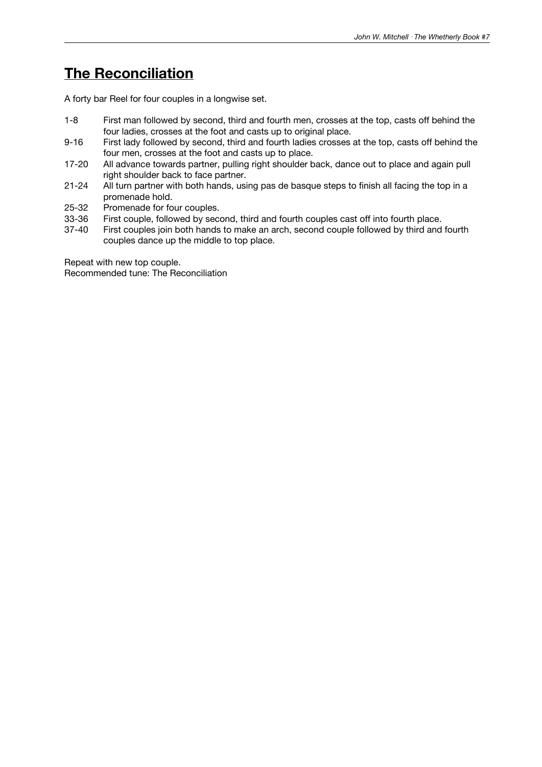# **The Reconciliation**

A forty bar Reel for four couples in a longwise set.

- 1-8 First man followed by second, third and fourth men, crosses at the top, casts off behind the four ladies, crosses at the foot and casts up to original place.
- 9-16 First lady followed by second, third and fourth ladies crosses at the top, casts off behind the four men, crosses at the foot and casts up to place.
- 17-20 All advance towards partner, pulling right shoulder back, dance out to place and again pull right shoulder back to face partner.
- 21-24 All turn partner with both hands, using pas de basque steps to finish all facing the top in a promenade hold.
- 25-32 Promenade for four couples.<br>33-36 First couple, followed by sec
- 33-36 First couple, followed by second, third and fourth couples cast off into fourth place.<br>37-40 First couples ioin both hands to make an arch, second couple followed by third and
- First couples join both hands to make an arch, second couple followed by third and fourth couples dance up the middle to top place.

Repeat with new top couple. Recommended tune: The Reconciliation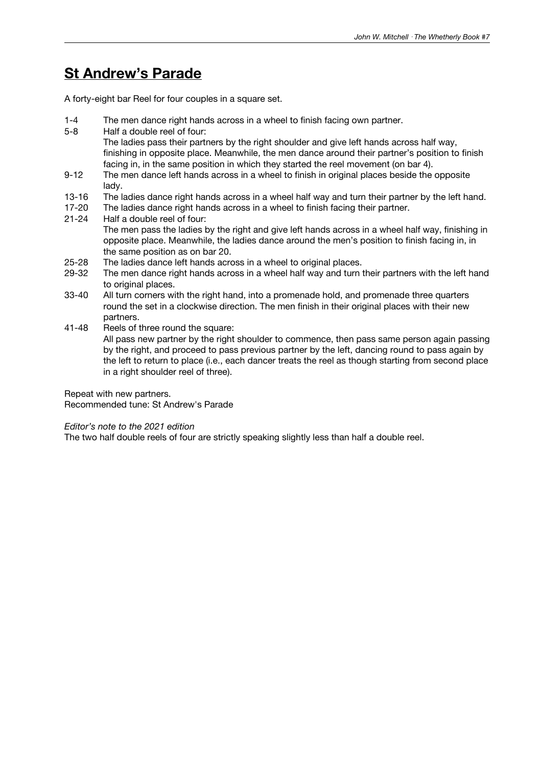### **St Andrew's Parade**

A forty-eight bar Reel for four couples in a square set.

- 1-4 The men dance right hands across in a wheel to finish facing own partner.
- 5-8 Half a double reel of four: The ladies pass their partners by the right shoulder and give left hands across half way, finishing in opposite place. Meanwhile, the men dance around their partner's position to finish facing in, in the same position in which they started the reel movement (on bar 4).
- 9-12 The men dance left hands across in a wheel to finish in original places beside the opposite lady.
- 13-16 The ladies dance right hands across in a wheel half way and turn their partner by the left hand.<br>17-20 The ladies dance right hands across in a wheel to finish facing their partner.
- 17-20 The ladies dance right hands across in a wheel to finish facing their partner.<br>21-24 Half a double reel of four:
- Half a double reel of four: The men pass the ladies by the right and give left hands across in a wheel half way, finishing in opposite place. Meanwhile, the ladies dance around the men's position to finish facing in, in the same position as on bar 20.
- 25-28 The ladies dance left hands across in a wheel to original places.
- 29-32 The men dance right hands across in a wheel half way and turn their partners with the left hand to original places.
- 33-40 All turn corners with the right hand, into a promenade hold, and promenade three quarters round the set in a clockwise direction. The men finish in their original places with their new partners.
- 41-48 Reels of three round the square: All pass new partner by the right shoulder to commence, then pass same person again passing by the right, and proceed to pass previous partner by the left, dancing round to pass again by the left to return to place (i.e., each dancer treats the reel as though starting from second place in a right shoulder reel of three).

Repeat with new partners.

Recommended tune: St Andrew's Parade

*Editor's note to the 2021 edition*

The two half double reels of four are strictly speaking slightly less than half a double reel.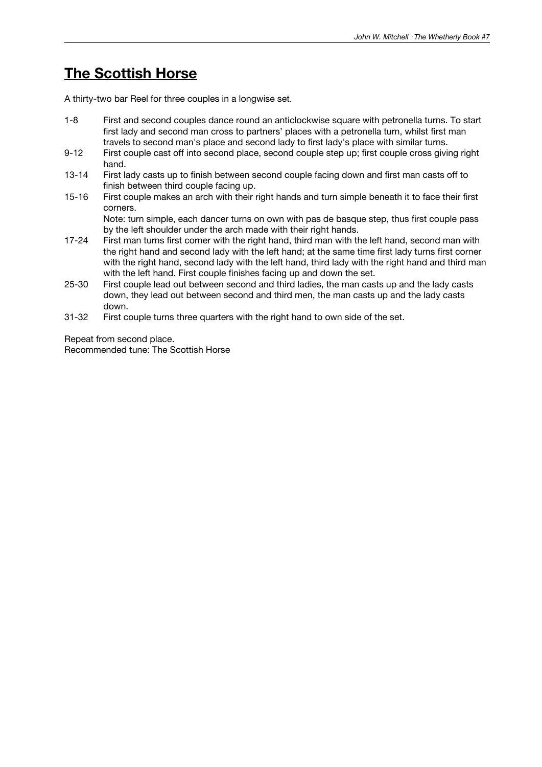# **The Scottish Horse**

A thirty-two bar Reel for three couples in a longwise set.

- 1-8 First and second couples dance round an anticlockwise square with petronella turns. To start first lady and second man cross to partners' places with a petronella turn, whilst first man travels to second man's place and second lady to first lady's place with similar turns.
- 9-12 First couple cast off into second place, second couple step up; first couple cross giving right hand.
- 13-14 First lady casts up to finish between second couple facing down and first man casts off to finish between third couple facing up.
- 15-16 First couple makes an arch with their right hands and turn simple beneath it to face their first corners.

Note: turn simple, each dancer turns on own with pas de basque step, thus first couple pass by the left shoulder under the arch made with their right hands.

- 17-24 First man turns first corner with the right hand, third man with the left hand, second man with the right hand and second lady with the left hand; at the same time first lady turns first corner with the right hand, second lady with the left hand, third lady with the right hand and third man with the left hand. First couple finishes facing up and down the set.
- 25-30 First couple lead out between second and third ladies, the man casts up and the lady casts down, they lead out between second and third men, the man casts up and the lady casts down.
- 31-32 First couple turns three quarters with the right hand to own side of the set.

Repeat from second place. Recommended tune: The Scottish Horse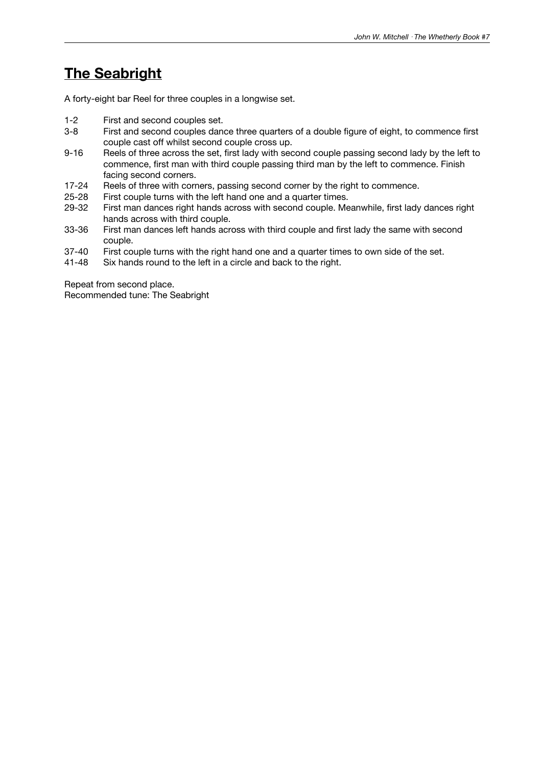# **The Seabright**

A forty-eight bar Reel for three couples in a longwise set.

- 1-2 First and second couples set.<br>3-8 First and second couples dan
- First and second couples dance three quarters of a double figure of eight, to commence first couple cast off whilst second couple cross up.
- 9-16 Reels of three across the set, first lady with second couple passing second lady by the left to commence, first man with third couple passing third man by the left to commence. Finish facing second corners.
- 17-24 Reels of three with corners, passing second corner by the right to commence.
- 25-28 First couple turns with the left hand one and a quarter times.<br>29-32 First man dances right hands across with second couple. Me
- First man dances right hands across with second couple. Meanwhile, first lady dances right hands across with third couple.
- 33-36 First man dances left hands across with third couple and first lady the same with second couple.
- 37-40 First couple turns with the right hand one and a quarter times to own side of the set.<br>41-48 Six hands round to the left in a circle and back to the right.
- Six hands round to the left in a circle and back to the right.

Repeat from second place. Recommended tune: The Seabright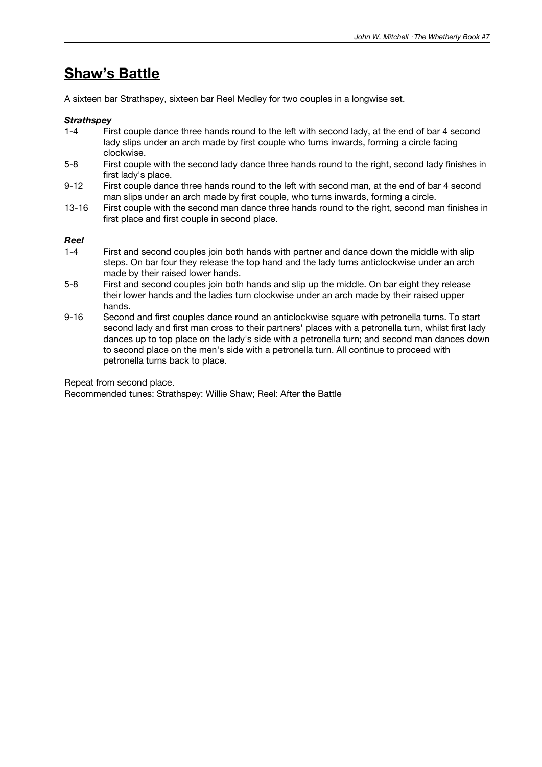# **Shaw's Battle**

A sixteen bar Strathspey, sixteen bar Reel Medley for two couples in a longwise set.

#### *Strathspey*

- 1-4 First couple dance three hands round to the left with second lady, at the end of bar 4 second lady slips under an arch made by first couple who turns inwards, forming a circle facing clockwise.
- 5-8 First couple with the second lady dance three hands round to the right, second lady finishes in first lady's place.
- 9-12 First couple dance three hands round to the left with second man, at the end of bar 4 second man slips under an arch made by first couple, who turns inwards, forming a circle.
- 13-16 First couple with the second man dance three hands round to the right, second man finishes in first place and first couple in second place.

# *Reel*

- First and second couples join both hands with partner and dance down the middle with slip steps. On bar four they release the top hand and the lady turns anticlockwise under an arch made by their raised lower hands.
- 5-8 First and second couples join both hands and slip up the middle. On bar eight they release their lower hands and the ladies turn clockwise under an arch made by their raised upper hands.
- 9-16 Second and first couples dance round an anticlockwise square with petronella turns. To start second lady and first man cross to their partners' places with a petronella turn, whilst first lady dances up to top place on the lady's side with a petronella turn; and second man dances down to second place on the men's side with a petronella turn. All continue to proceed with petronella turns back to place.

Repeat from second place.

Recommended tunes: Strathspey: Willie Shaw; Reel: After the Battle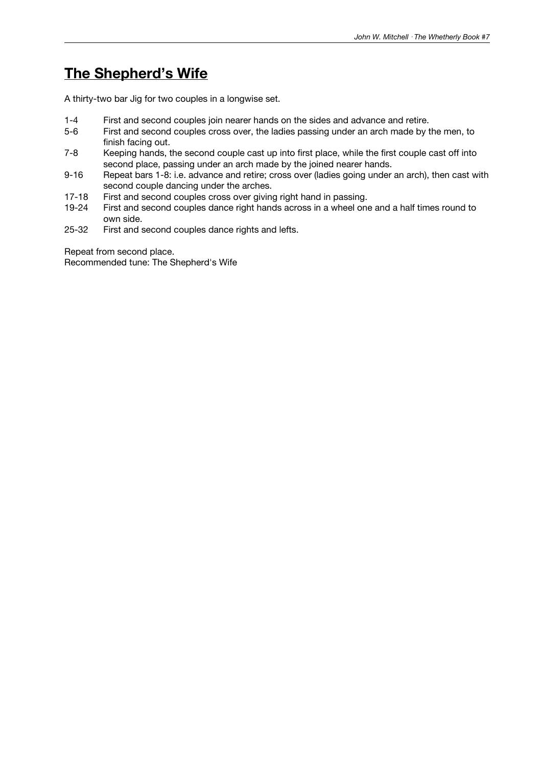# **The Shepherd's Wife**

A thirty-two bar Jig for two couples in a longwise set.

- 1-4 First and second couples join nearer hands on the sides and advance and retire.
- 5-6 First and second couples cross over, the ladies passing under an arch made by the men, to finish facing out.
- 7-8 Keeping hands, the second couple cast up into first place, while the first couple cast off into second place, passing under an arch made by the joined nearer hands.
- 9-16 Repeat bars 1-8: i.e. advance and retire; cross over (ladies going under an arch), then cast with second couple dancing under the arches.
- 17-18 First and second couples cross over giving right hand in passing.<br>19-24 First and second couples dance right hands across in a wheel one
- First and second couples dance right hands across in a wheel one and a half times round to own side.
- 25-32 First and second couples dance rights and lefts.

Repeat from second place.

Recommended tune: The Shepherd's Wife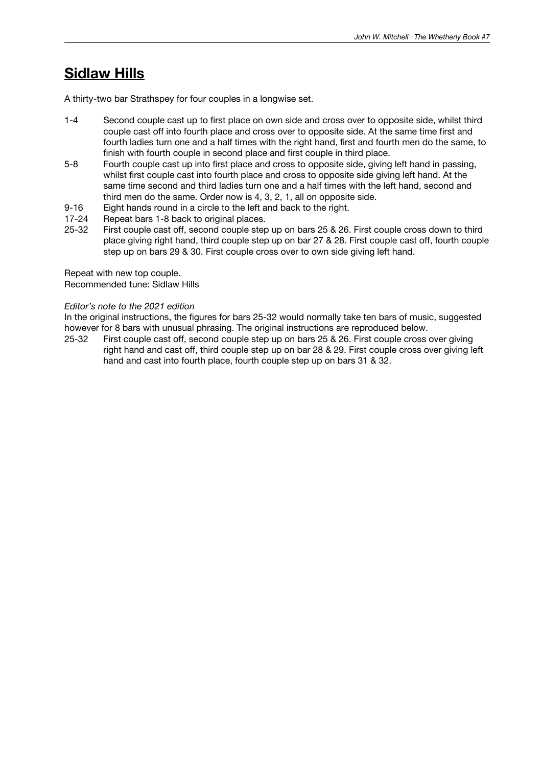## **Sidlaw Hills**

A thirty-two bar Strathspey for four couples in a longwise set.

- 1-4 Second couple cast up to first place on own side and cross over to opposite side, whilst third couple cast off into fourth place and cross over to opposite side. At the same time first and fourth ladies turn one and a half times with the right hand, first and fourth men do the same, to finish with fourth couple in second place and first couple in third place.
- 5-8 Fourth couple cast up into first place and cross to opposite side, giving left hand in passing, whilst first couple cast into fourth place and cross to opposite side giving left hand. At the same time second and third ladies turn one and a half times with the left hand, second and third men do the same. Order now is 4, 3, 2, 1, all on opposite side.
- 9-16 Eight hands round in a circle to the left and back to the right.<br>17-24 Repeat bars 1-8 back to original places.
- 17-24 Repeat bars 1-8 back to original places.<br>25-32 First couple cast off. second couple ster
- First couple cast off, second couple step up on bars 25 & 26. First couple cross down to third place giving right hand, third couple step up on bar 27 & 28. First couple cast off, fourth couple step up on bars 29 & 30. First couple cross over to own side giving left hand.

Repeat with new top couple.

Recommended tune: Sidlaw Hills

#### *Editor's note to the 2021 edition*

In the original instructions, the figures for bars 25-32 would normally take ten bars of music, suggested however for 8 bars with unusual phrasing. The original instructions are reproduced below.

25-32 First couple cast off, second couple step up on bars 25 & 26. First couple cross over giving right hand and cast off, third couple step up on bar 28 & 29. First couple cross over giving left hand and cast into fourth place, fourth couple step up on bars 31 & 32.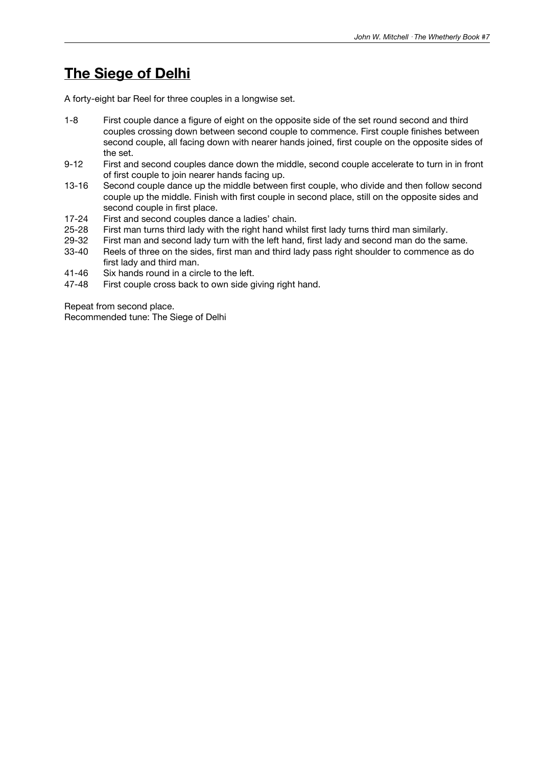# **The Siege of Delhi**

A forty-eight bar Reel for three couples in a longwise set.

- 1-8 First couple dance a figure of eight on the opposite side of the set round second and third couples crossing down between second couple to commence. First couple finishes between second couple, all facing down with nearer hands joined, first couple on the opposite sides of the set.
- 9-12 First and second couples dance down the middle, second couple accelerate to turn in in front of first couple to join nearer hands facing up.
- 13-16 Second couple dance up the middle between first couple, who divide and then follow second couple up the middle. Finish with first couple in second place, still on the opposite sides and second couple in first place.
- 17-24 First and second couples dance a ladies' chain.<br>25-28 First man turns third lady with the right hand whi
- First man turns third lady with the right hand whilst first lady turns third man similarly.
- 29-32 First man and second lady turn with the left hand, first lady and second man do the same.
- 33-40 Reels of three on the sides, first man and third lady pass right shoulder to commence as do first lady and third man.
- 41-46 Six hands round in a circle to the left.
- 47-48 First couple cross back to own side giving right hand.

Repeat from second place. Recommended tune: The Siege of Delhi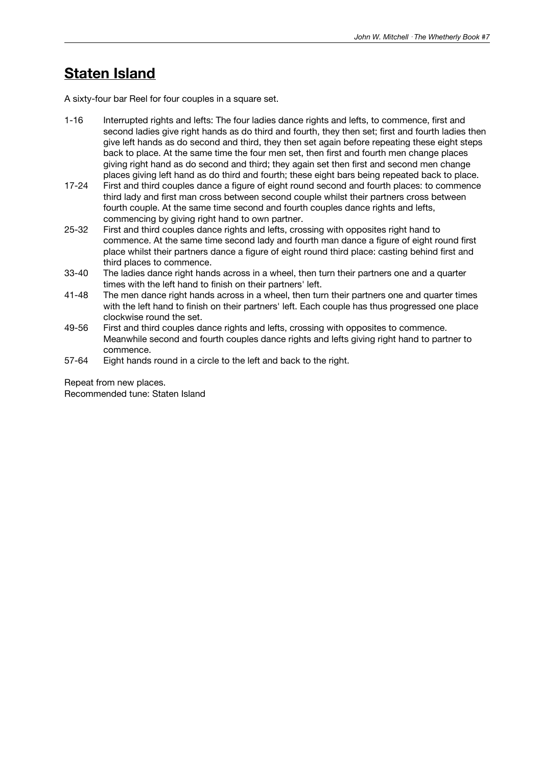# **Staten Island**

A sixty-four bar Reel for four couples in a square set.

- 1-16 Interrupted rights and lefts: The four ladies dance rights and lefts, to commence, first and second ladies give right hands as do third and fourth, they then set; first and fourth ladies then give left hands as do second and third, they then set again before repeating these eight steps back to place. At the same time the four men set, then first and fourth men change places giving right hand as do second and third; they again set then first and second men change places giving left hand as do third and fourth; these eight bars being repeated back to place.
- 17-24 First and third couples dance a figure of eight round second and fourth places: to commence third lady and first man cross between second couple whilst their partners cross between fourth couple. At the same time second and fourth couples dance rights and lefts, commencing by giving right hand to own partner.
- 25-32 First and third couples dance rights and lefts, crossing with opposites right hand to commence. At the same time second lady and fourth man dance a figure of eight round first place whilst their partners dance a figure of eight round third place: casting behind first and third places to commence.
- 33-40 The ladies dance right hands across in a wheel, then turn their partners one and a quarter times with the left hand to finish on their partners' left.
- 41-48 The men dance right hands across in a wheel, then turn their partners one and quarter times with the left hand to finish on their partners' left. Each couple has thus progressed one place clockwise round the set.
- 49-56 First and third couples dance rights and lefts, crossing with opposites to commence. Meanwhile second and fourth couples dance rights and lefts giving right hand to partner to commence.
- 57-64 Eight hands round in a circle to the left and back to the right.

Repeat from new places. Recommended tune: Staten Island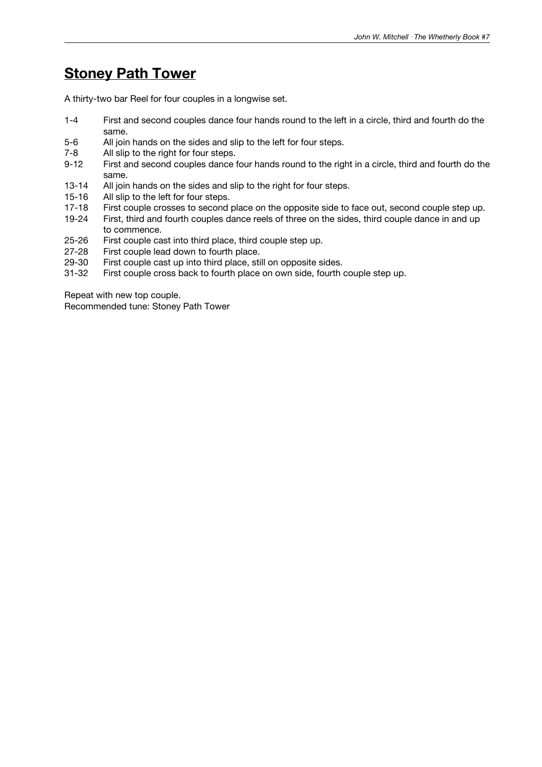# **Stoney Path Tower**

A thirty-two bar Reel for four couples in a longwise set.

- 1-4 First and second couples dance four hands round to the left in a circle, third and fourth do the same.
- 5-6 All join hands on the sides and slip to the left for four steps.
- 7-8 All slip to the right for four steps.
- 9-12 First and second couples dance four hands round to the right in a circle, third and fourth do the same.
- 13-14 All join hands on the sides and slip to the right for four steps.
- 15-16 All slip to the left for four steps.<br>17-18 First couple crosses to second
- 17-18 First couple crosses to second place on the opposite side to face out, second couple step up.<br>19-24 First, third and fourth couples dance reels of three on the sides, third couple dance in and up
- First, third and fourth couples dance reels of three on the sides, third couple dance in and up to commence.
- 25-26 First couple cast into third place, third couple step up.<br>27-28 First couple lead down to fourth place.
- First couple lead down to fourth place.
- 29-30 First couple cast up into third place, still on opposite sides.
- 31-32 First couple cross back to fourth place on own side, fourth couple step up.

Repeat with new top couple.

Recommended tune: Stoney Path Tower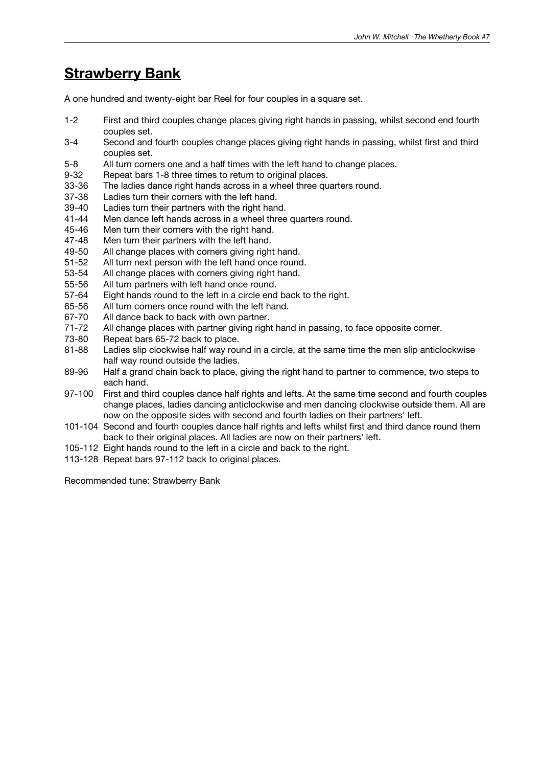# **Strawberry Bank**

A one hundred and twenty-eight bar Reel for four couples in a square set.

- 1-2 First and third couples change places giving right hands in passing, whilst second end fourth couples set.
- 3-4 Second and fourth couples change places giving right hands in passing, whilst first and third couples set.
- 5-8 All turn corners one and a half times with the left hand to change places.
- 9-32 Repeat bars 1-8 three times to return to original places.
- 33-36 The ladies dance right hands across in a wheel three quarters round.
- 37-38 Ladies turn their corners with the left hand.
- 39-40 Ladies turn their partners with the right hand.<br>41-44 Men dance left hands across in a wheel three
- 41-44 Men dance left hands across in a wheel three quarters round.<br>45-46 Men turn their corners with the right hand.
- Men turn their corners with the right hand.
- 47-48 Men turn their partners with the left hand.<br>49-50 All change places with corners giving righ
- All change places with corners giving right hand.
- 51-52 All turn next person with the left hand once round.
- 53-54 All change places with corners giving right hand.
- 55-56 All turn partners with left hand once round.
- 57-64 Eight hands round to the left in a circle end back to the right.
- 65-56 All turn corners once round with the left hand.
- 67-70 All dance back to back with own partner.<br>71-72 All change places with partner giving righ
- 71-72 All change places with partner giving right hand in passing, to face opposite corner.<br>73-80 Repeat bars 65-72 back to place.
- Repeat bars 65-72 back to place.
- 81-88 Ladies slip clockwise half way round in a circle, at the same time the men slip anticlockwise half way round outside the ladies.
- 89-96 Half a grand chain back to place, giving the right hand to partner to commence, two steps to each hand.
- 97-100 First and third couples dance half rights and lefts. At the same time second and fourth couples change places, ladies dancing anticlockwise and men dancing clockwise outside them. All are now on the opposite sides with second and fourth ladies on their partners' left.
- 101-104 Second and fourth couples dance half rights and lefts whilst first and third dance round them back to their original places. All ladies are now on their partners' left.
- 105-112 Eight hands round to the left in a circle and back to the right.
- 113-128 Repeat bars 97-112 back to original places.

Recommended tune: Strawberry Bank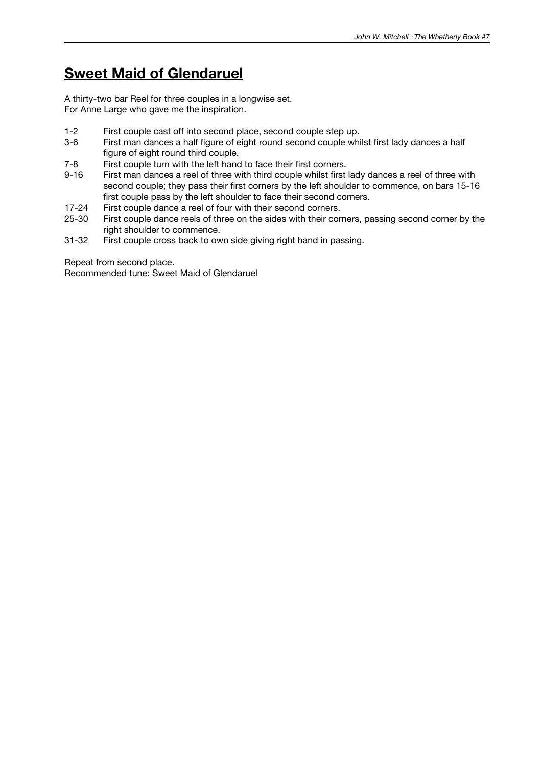# **Sweet Maid of Glendaruel**

A thirty-two bar Reel for three couples in a longwise set. For Anne Large who gave me the inspiration.

- 1-2 First couple cast off into second place, second couple step up.<br>3-6 First man dances a half figure of eight round second couple whi
- First man dances a half figure of eight round second couple whilst first lady dances a half figure of eight round third couple.
- 7-8 First couple turn with the left hand to face their first corners.<br>9-16 First man dances a reel of three with third couple whilst first
- First man dances a reel of three with third couple whilst first lady dances a reel of three with second couple; they pass their first corners by the left shoulder to commence, on bars 15-16 first couple pass by the left shoulder to face their second corners.
- 17-24 First couple dance a reel of four with their second corners.<br>25-30 First couple dance reels of three on the sides with their cor
- First couple dance reels of three on the sides with their corners, passing second corner by the right shoulder to commence.
- 31-32 First couple cross back to own side giving right hand in passing.

Repeat from second place.

Recommended tune: Sweet Maid of Glendaruel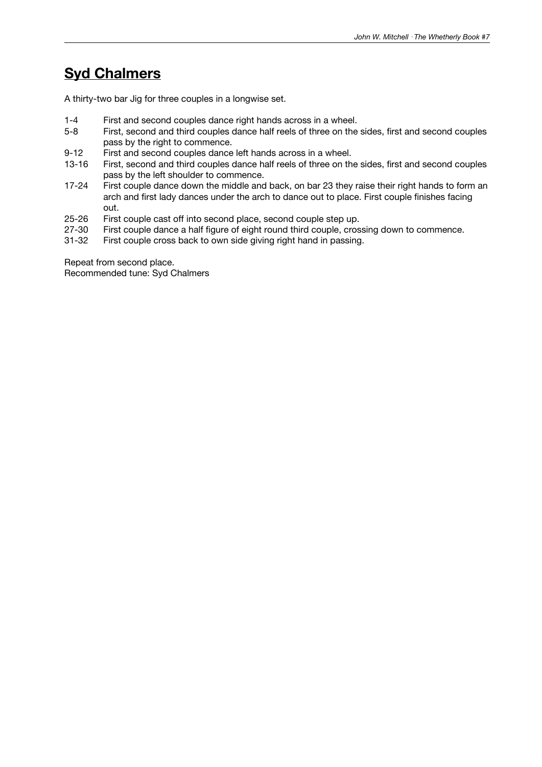# **Syd Chalmers**

A thirty-two bar Jig for three couples in a longwise set.

- 1-4 First and second couples dance right hands across in a wheel.
- 5-8 First, second and third couples dance half reels of three on the sides, first and second couples pass by the right to commence.
- 9-12 First and second couples dance left hands across in a wheel.
- 13-16 First, second and third couples dance half reels of three on the sides, first and second couples pass by the left shoulder to commence.
- 17-24 First couple dance down the middle and back, on bar 23 they raise their right hands to form an arch and first lady dances under the arch to dance out to place. First couple finishes facing out.
- 25-26 First couple cast off into second place, second couple step up.<br>27-30 First couple dance a half figure of eight round third couple, cros
- 27-30 First couple dance a half figure of eight round third couple, crossing down to commence.<br>31-32 First couple cross back to own side giving right hand in passing.
- First couple cross back to own side giving right hand in passing.

Repeat from second place. Recommended tune: Syd Chalmers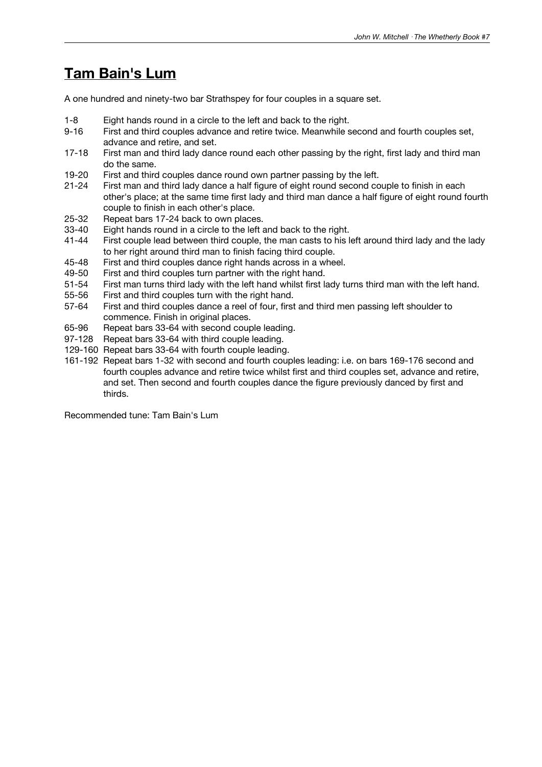# **Tam Bain's Lum**

A one hundred and ninety-two bar Strathspey for four couples in a square set.

- 1-8 Eight hands round in a circle to the left and back to the right.
- 9-16 First and third couples advance and retire twice. Meanwhile second and fourth couples set, advance and retire, and set.
- 17-18 First man and third lady dance round each other passing by the right, first lady and third man do the same.
- 19-20 First and third couples dance round own partner passing by the left.
- 21-24 First man and third lady dance a half figure of eight round second couple to finish in each other's place; at the same time first lady and third man dance a half figure of eight round fourth couple to finish in each other's place.
- 25-32 Repeat bars 17-24 back to own places.<br>33-40 Eight hands round in a circle to the left a
- 33-40 Eight hands round in a circle to the left and back to the right.<br>41-44 First couple lead between third couple, the man casts to his l
- First couple lead between third couple, the man casts to his left around third lady and the lady to her right around third man to finish facing third couple.
- 45-48 First and third couples dance right hands across in a wheel.
- 49-50 First and third couples turn partner with the right hand.
- 51-54 First man turns third lady with the left hand whilst first lady turns third man with the left hand.
- 55-56 First and third couples turn with the right hand.
- 57-64 First and third couples dance a reel of four, first and third men passing left shoulder to commence. Finish in original places.
- 65-96 Repeat bars 33-64 with second couple leading.
- 97-128 Repeat bars 33-64 with third couple leading.
- 129-160 Repeat bars 33-64 with fourth couple leading.
- 161-192 Repeat bars 1-32 with second and fourth couples leading: i.e. on bars 169-176 second and fourth couples advance and retire twice whilst first and third couples set, advance and retire, and set. Then second and fourth couples dance the figure previously danced by first and thirds.

Recommended tune: Tam Bain's Lum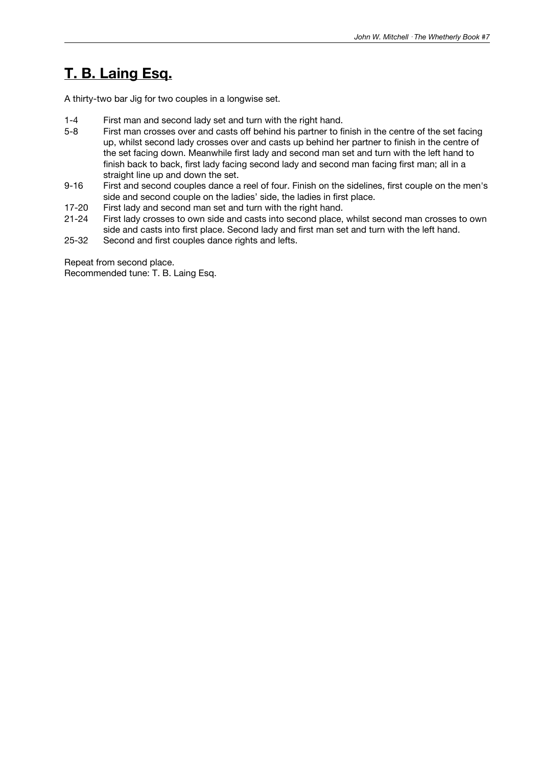# **T. B. Laing Esq.**

A thirty-two bar Jig for two couples in a longwise set.

- 1-4 First man and second lady set and turn with the right hand.<br>5-8 First man crosses over and casts off behind his partner to fi
- First man crosses over and casts off behind his partner to finish in the centre of the set facing up, whilst second lady crosses over and casts up behind her partner to finish in the centre of the set facing down. Meanwhile first lady and second man set and turn with the left hand to finish back to back, first lady facing second lady and second man facing first man; all in a straight line up and down the set.
- 9-16 First and second couples dance a reel of four. Finish on the sidelines, first couple on the men's side and second couple on the ladies' side, the ladies in first place.
- 17-20 First lady and second man set and turn with the right hand.<br>21-24 First lady crosses to own side and casts into second place.
- First lady crosses to own side and casts into second place, whilst second man crosses to own side and casts into first place. Second lady and first man set and turn with the left hand.
- 25-32 Second and first couples dance rights and lefts.

Repeat from second place. Recommended tune: T. B. Laing Esq.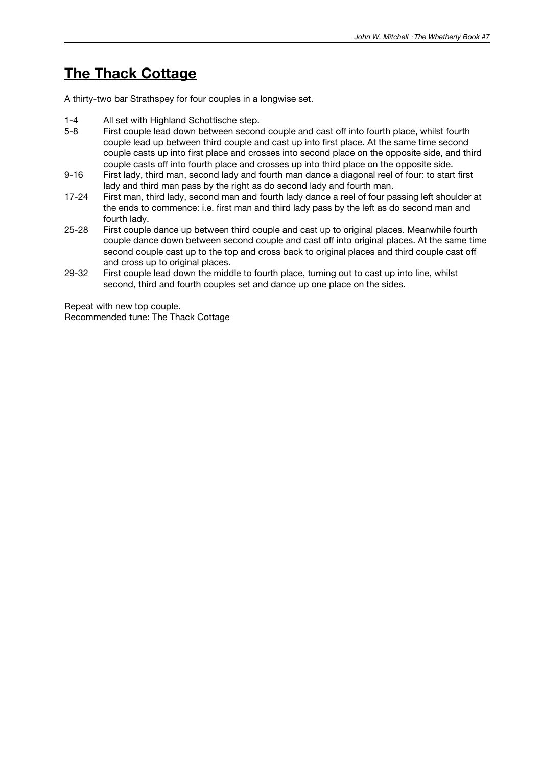# **The Thack Cottage**

A thirty-two bar Strathspey for four couples in a longwise set.

- 1-4 All set with Highland Schottische step.
- 5-8 First couple lead down between second couple and cast off into fourth place, whilst fourth couple lead up between third couple and cast up into first place. At the same time second couple casts up into first place and crosses into second place on the opposite side, and third couple casts off into fourth place and crosses up into third place on the opposite side.
- 9-16 First lady, third man, second lady and fourth man dance a diagonal reel of four: to start first lady and third man pass by the right as do second lady and fourth man.
- 17-24 First man, third lady, second man and fourth lady dance a reel of four passing left shoulder at the ends to commence: i.e. first man and third lady pass by the left as do second man and fourth lady.
- 25-28 First couple dance up between third couple and cast up to original places. Meanwhile fourth couple dance down between second couple and cast off into original places. At the same time second couple cast up to the top and cross back to original places and third couple cast off and cross up to original places.
- 29-32 First couple lead down the middle to fourth place, turning out to cast up into line, whilst second, third and fourth couples set and dance up one place on the sides.

Repeat with new top couple. Recommended tune: The Thack Cottage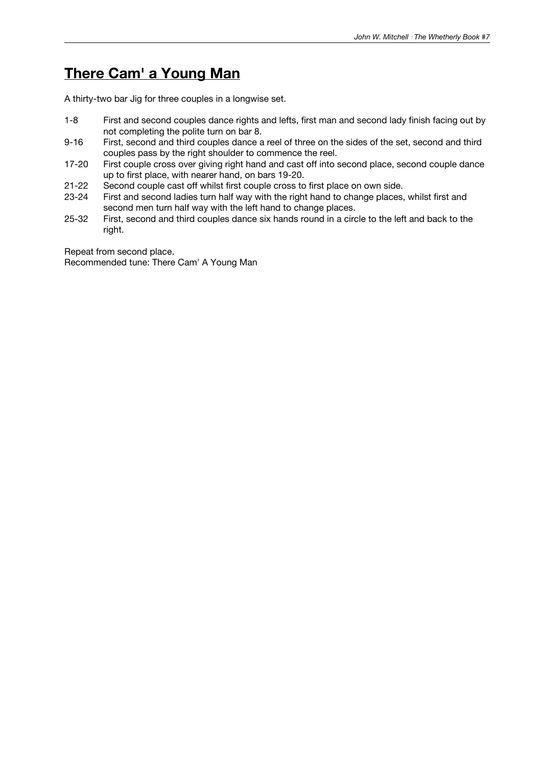# **There Cam' a Young Man**

A thirty-two bar Jig for three couples in a longwise set.

- 1-8 First and second couples dance rights and lefts, first man and second lady finish facing out by not completing the polite turn on bar 8.
- 9-16 First, second and third couples dance a reel of three on the sides of the set, second and third couples pass by the right shoulder to commence the reel.
- 17-20 First couple cross over giving right hand and cast off into second place, second couple dance up to first place, with nearer hand, on bars 19-20.
- 21-22 Second couple cast off whilst first couple cross to first place on own side.
- 23-24 First and second ladies turn half way with the right hand to change places, whilst first and second men turn half way with the left hand to change places.
- 25-32 First, second and third couples dance six hands round in a circle to the left and back to the right.

Repeat from second place.

Recommended tune: There Cam' A Young Man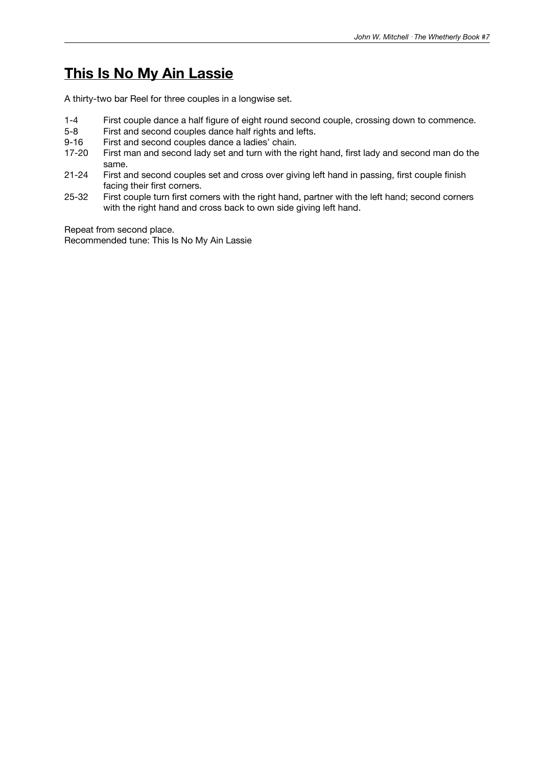# **This Is No My Ain Lassie**

A thirty-two bar Reel for three couples in a longwise set.

- 1-4 First couple dance a half figure of eight round second couple, crossing down to commence.<br>5-8 First and second couples dance half rights and lefts.
- 5-8 First and second couples dance half rights and lefts.<br>9-16 First and second couples dance a ladies' chain.
- First and second couples dance a ladies' chain.
- 17-20 First man and second lady set and turn with the right hand, first lady and second man do the same.
- 21-24 First and second couples set and cross over giving left hand in passing, first couple finish facing their first corners.
- 25-32 First couple turn first corners with the right hand, partner with the left hand; second corners with the right hand and cross back to own side giving left hand.

Repeat from second place.

Recommended tune: This Is No My Ain Lassie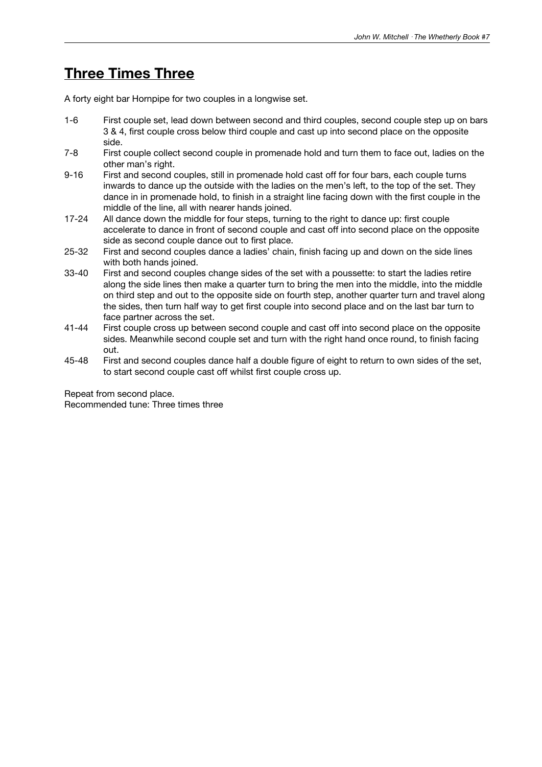# **Three Times Three**

A forty eight bar Hornpipe for two couples in a longwise set.

- 1-6 First couple set, lead down between second and third couples, second couple step up on bars 3 & 4, first couple cross below third couple and cast up into second place on the opposite side.
- 7-8 First couple collect second couple in promenade hold and turn them to face out, ladies on the other man's right.
- 9-16 First and second couples, still in promenade hold cast off for four bars, each couple turns inwards to dance up the outside with the ladies on the men's left, to the top of the set. They dance in in promenade hold, to finish in a straight line facing down with the first couple in the middle of the line, all with nearer hands joined.
- 17-24 All dance down the middle for four steps, turning to the right to dance up: first couple accelerate to dance in front of second couple and cast off into second place on the opposite side as second couple dance out to first place.
- 25-32 First and second couples dance a ladies' chain, finish facing up and down on the side lines with both hands joined.
- 33-40 First and second couples change sides of the set with a poussette: to start the ladies retire along the side lines then make a quarter turn to bring the men into the middle, into the middle on third step and out to the opposite side on fourth step, another quarter turn and travel along the sides, then turn half way to get first couple into second place and on the last bar turn to face partner across the set.
- 41-44 First couple cross up between second couple and cast off into second place on the opposite sides. Meanwhile second couple set and turn with the right hand once round, to finish facing out.
- 45-48 First and second couples dance half a double figure of eight to return to own sides of the set, to start second couple cast off whilst first couple cross up.

Repeat from second place. Recommended tune: Three times three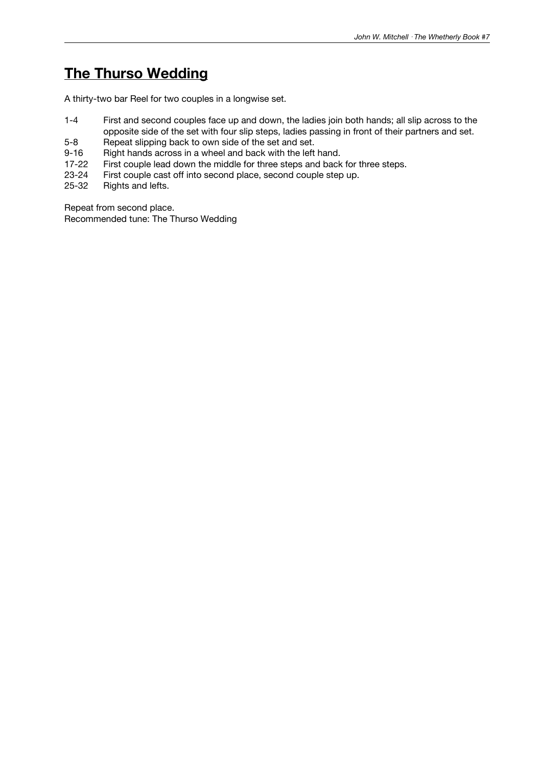# **The Thurso Wedding**

A thirty-two bar Reel for two couples in a longwise set.

- 1-4 First and second couples face up and down, the ladies join both hands; all slip across to the opposite side of the set with four slip steps, ladies passing in front of their partners and set.
- 5-8 Repeat slipping back to own side of the set and set.
- 9-16 Right hands across in a wheel and back with the left hand.
- 17-22 First couple lead down the middle for three steps and back for three steps.
- 23-24 First couple cast off into second place, second couple step up.<br>25-32 Rights and lefts.
- Rights and lefts.

Repeat from second place. Recommended tune: The Thurso Wedding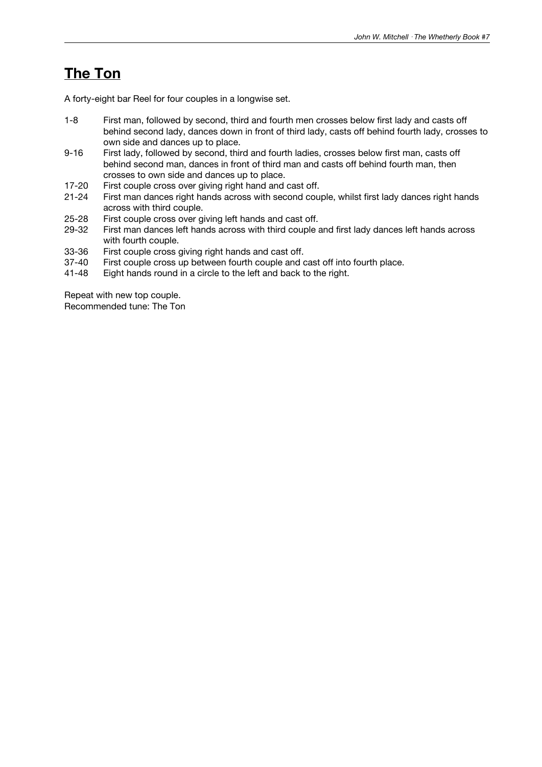# **The Ton**

A forty-eight bar Reel for four couples in a longwise set.

- 1-8 First man, followed by second, third and fourth men crosses below first lady and casts off behind second lady, dances down in front of third lady, casts off behind fourth lady, crosses to own side and dances up to place.
- 9-16 First lady, followed by second, third and fourth ladies, crosses below first man, casts off behind second man, dances in front of third man and casts off behind fourth man, then crosses to own side and dances up to place.
- 17-20 First couple cross over giving right hand and cast off.
- 21-24 First man dances right hands across with second couple, whilst first lady dances right hands across with third couple.
- 25-28 First couple cross over giving left hands and cast off.<br>29-32 First man dances left hands across with third couple a
- First man dances left hands across with third couple and first lady dances left hands across with fourth couple.
- 33-36 First couple cross giving right hands and cast off.<br>37-40 First couple cross up between fourth couple and c
- First couple cross up between fourth couple and cast off into fourth place.
- 41-48 Eight hands round in a circle to the left and back to the right.

Repeat with new top couple.

Recommended tune: The Ton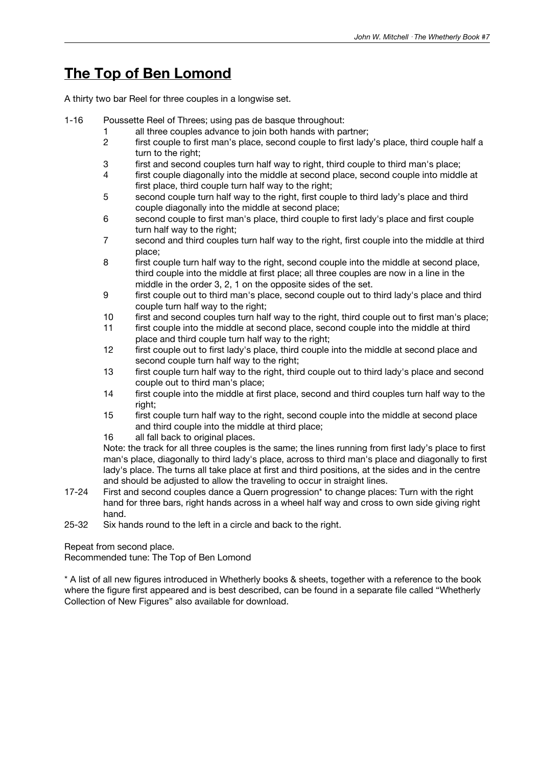# **The Top of Ben Lomond**

A thirty two bar Reel for three couples in a longwise set.

- 1-16 Poussette Reel of Threes; using pas de basque throughout:
	- 1 all three couples advance to join both hands with partner;
	- 2 first couple to first man's place, second couple to first lady's place, third couple half a turn to the right;
	- 3 first and second couples turn half way to right, third couple to third man's place;
	- 4 first couple diagonally into the middle at second place, second couple into middle at first place, third couple turn half way to the right;
	- 5 second couple turn half way to the right, first couple to third lady's place and third couple diagonally into the middle at second place;
	- 6 second couple to first man's place, third couple to first lady's place and first couple turn half way to the right;
	- 7 second and third couples turn half way to the right, first couple into the middle at third place;
	- 8 first couple turn half way to the right, second couple into the middle at second place, third couple into the middle at first place; all three couples are now in a line in the middle in the order 3, 2, 1 on the opposite sides of the set.
	- 9 first couple out to third man's place, second couple out to third lady's place and third couple turn half way to the right;
	- 10 first and second couples turn half way to the right, third couple out to first man's place;
	- 11 first couple into the middle at second place, second couple into the middle at third place and third couple turn half way to the right;
	- 12 first couple out to first lady's place, third couple into the middle at second place and second couple turn half way to the right;
	- 13 first couple turn half way to the right, third couple out to third lady's place and second couple out to third man's place;
	- 14 first couple into the middle at first place, second and third couples turn half way to the right;
	- 15 first couple turn half way to the right, second couple into the middle at second place and third couple into the middle at third place;
	- 16 all fall back to original places.

Note: the track for all three couples is the same; the lines running from first lady's place to first man's place, diagonally to third lady's place, across to third man's place and diagonally to first lady's place. The turns all take place at first and third positions, at the sides and in the centre and should be adjusted to allow the traveling to occur in straight lines.

- 17-24 First and second couples dance a Quern progression\* to change places: Turn with the right hand for three bars, right hands across in a wheel half way and cross to own side giving right hand.
- 25-32 Six hands round to the left in a circle and back to the right.

Repeat from second place.

Recommended tune: The Top of Ben Lomond

\* A list of all new figures introduced in Whetherly books & sheets, together with a reference to the book where the figure first appeared and is best described, can be found in a separate file called "Whetherly Collection of New Figures" also available for download.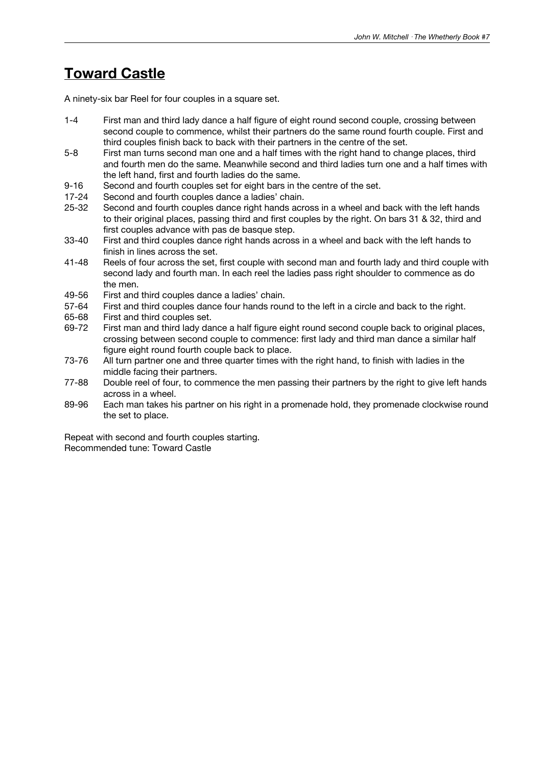# **Toward Castle**

A ninety-six bar Reel for four couples in a square set.

- 1-4 First man and third lady dance a half figure of eight round second couple, crossing between second couple to commence, whilst their partners do the same round fourth couple. First and third couples finish back to back with their partners in the centre of the set.
- 5-8 First man turns second man one and a half times with the right hand to change places, third and fourth men do the same. Meanwhile second and third ladies turn one and a half times with the left hand, first and fourth ladies do the same.
- 9-16 Second and fourth couples set for eight bars in the centre of the set.
- 17-24 Second and fourth couples dance a ladies' chain.
- 25-32 Second and fourth couples dance right hands across in a wheel and back with the left hands to their original places, passing third and first couples by the right. On bars 31 & 32, third and first couples advance with pas de basque step.
- 33-40 First and third couples dance right hands across in a wheel and back with the left hands to finish in lines across the set.
- 41-48 Reels of four across the set, first couple with second man and fourth lady and third couple with second lady and fourth man. In each reel the ladies pass right shoulder to commence as do the men.
- 49-56 First and third couples dance a ladies' chain.
- 57-64 First and third couples dance four hands round to the left in a circle and back to the right.
- 65-68 First and third couples set.<br>69-72 First man and third lady day
- First man and third lady dance a half figure eight round second couple back to original places, crossing between second couple to commence: first lady and third man dance a similar half figure eight round fourth couple back to place.
- 73-76 All turn partner one and three quarter times with the right hand, to finish with ladies in the middle facing their partners.
- 77-88 Double reel of four, to commence the men passing their partners by the right to give left hands across in a wheel.
- 89-96 Each man takes his partner on his right in a promenade hold, they promenade clockwise round the set to place.

Repeat with second and fourth couples starting. Recommended tune: Toward Castle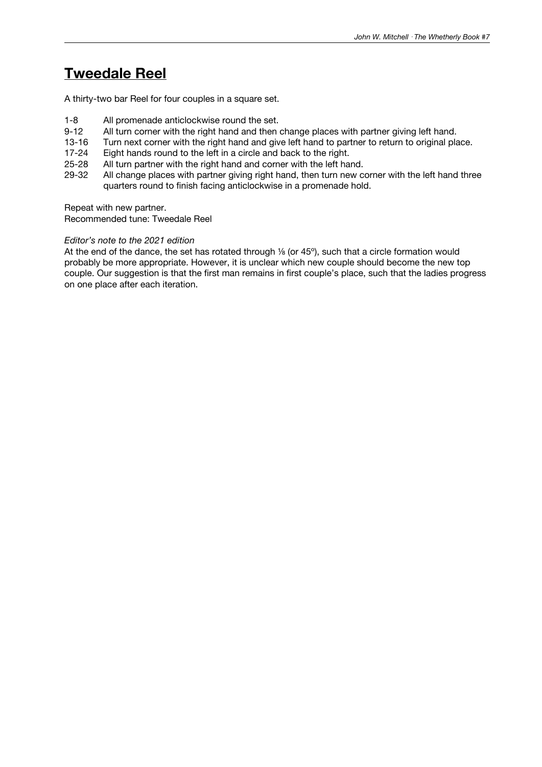# **Tweedale Reel**

A thirty-two bar Reel for four couples in a square set.

- 1-8 All promenade anticlockwise round the set.<br>9-12 All turn corner with the right hand and then
- 9-12 All turn corner with the right hand and then change places with partner giving left hand.<br>13-16 Turn next corner with the right hand and give left hand to partner to return to original pla
- Turn next corner with the right hand and give left hand to partner to return to original place.
- 17-24 Eight hands round to the left in a circle and back to the right.
- 25-28 All turn partner with the right hand and corner with the left hand.
- 29-32 All change places with partner giving right hand, then turn new corner with the left hand three quarters round to finish facing anticlockwise in a promenade hold.

Repeat with new partner.

Recommended tune: Tweedale Reel

### *Editor's note to the 2021 edition*

At the end of the dance, the set has rotated through <sup>1/8</sup> (or 45<sup>°</sup>), such that a circle formation would probably be more appropriate. However, it is unclear which new couple should become the new top couple. Our suggestion is that the first man remains in first couple's place, such that the ladies progress on one place after each iteration.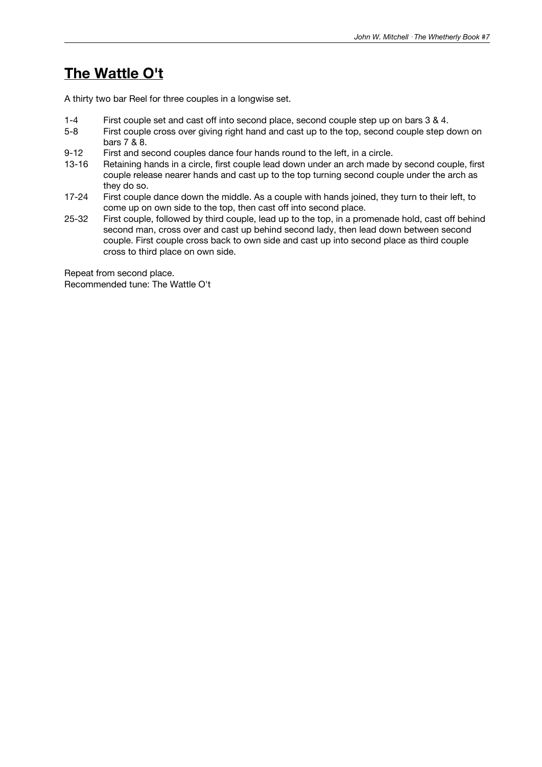# **The Wattle O't**

A thirty two bar Reel for three couples in a longwise set.

- 1-4 First couple set and cast off into second place, second couple step up on bars 3 & 4.
- First couple cross over giving right hand and cast up to the top, second couple step down on bars 7 & 8.
- 9-12 First and second couples dance four hands round to the left, in a circle.
- 13-16 Retaining hands in a circle, first couple lead down under an arch made by second couple, first couple release nearer hands and cast up to the top turning second couple under the arch as they do so.
- 17-24 First couple dance down the middle. As a couple with hands joined, they turn to their left, to come up on own side to the top, then cast off into second place.
- 25-32 First couple, followed by third couple, lead up to the top, in a promenade hold, cast off behind second man, cross over and cast up behind second lady, then lead down between second couple. First couple cross back to own side and cast up into second place as third couple cross to third place on own side.

Repeat from second place. Recommended tune: The Wattle O't